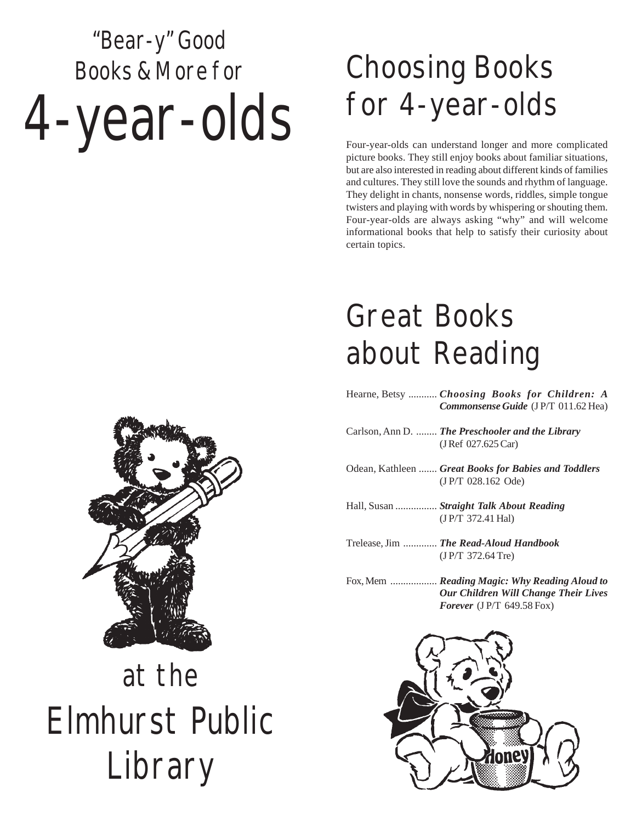# "Bear-y" Good Books & More for 4-year-olds

## Choosing Books for 4-year-olds

Four-year-olds can understand longer and more complicated picture books. They still enjoy books about familiar situations, but are also interested in reading about different kinds of families and cultures. They still love the sounds and rhythm of language. They delight in chants, nonsense words, riddles, simple tongue twisters and playing with words by whispering or shouting them. Four-year-olds are always asking "why" and will welcome informational books that help to satisfy their curiosity about certain topics.

### Great Books about Reading

- Hearne, Betsy ........... *Choosing Books for Children: A Commonsense Guide* (J P/T 011.62 Hea)
- Carlson, Ann D. ........ *The Preschooler and the Library* (J Ref 027.625 Car)
- Odean, Kathleen ....... *Great Books for Babies and Toddlers* (J P/T 028.162 Ode)
- Hall, Susan ................ *Straight Talk About Reading* (J P/T 372.41 Hal)
- Trelease, Jim ............. *The Read-Aloud Handbook* (J P/T 372.64 Tre)
- Fox, Mem .................. *Reading Magic: Why Reading Aloud to Our Children Will Change Their Lives Forever* (J P/T 649.58 Fox)





## at the Elmhurst Public Library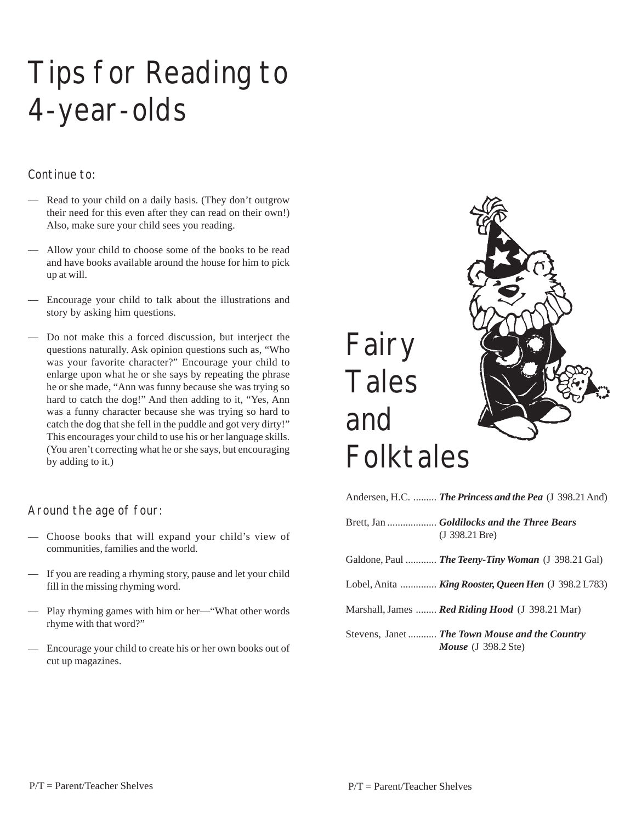### Tips for Reading to 4-year-olds

#### Continue to:

- Read to your child on a daily basis. (They don't outgrow their need for this even after they can read on their own!) Also, make sure your child sees you reading.
- Allow your child to choose some of the books to be read and have books available around the house for him to pick up at will.
- Encourage your child to talk about the illustrations and story by asking him questions.
- Do not make this a forced discussion, but interject the questions naturally. Ask opinion questions such as, "Who was your favorite character?" Encourage your child to enlarge upon what he or she says by repeating the phrase he or she made, "Ann was funny because she was trying so hard to catch the dog!" And then adding to it, "Yes, Ann was a funny character because she was trying so hard to catch the dog that she fell in the puddle and got very dirty!" This encourages your child to use his or her language skills. (You aren't correcting what he or she says, but encouraging by adding to it.)

#### Around the age of four:

- Choose books that will expand your child's view of communities, families and the world.
- If you are reading a rhyming story, pause and let your child fill in the missing rhyming word.
- Play rhyming games with him or her—"What other words rhyme with that word?"
- Encourage your child to create his or her own books out of cut up magazines.



| Andersen, H.C.  The Princess and the Pea (J 398.21 And)                                  |
|------------------------------------------------------------------------------------------|
| Brett, Jan  Goldilocks and the Three Bears<br>(J.398.21 Bre)                             |
| Galdone, Paul  The Teeny-Tiny Woman (J 398.21 Gal)                                       |
| Lobel, Anita  King Rooster, Queen Hen (J 398.2 L783)                                     |
| Marshall, James <b>Red Riding Hood</b> (J 398.21 Mar)                                    |
| Stevens, Janet  The Town Mouse and the Country<br><i>Mouse</i> $(J \ 398.2 \text{ Ste})$ |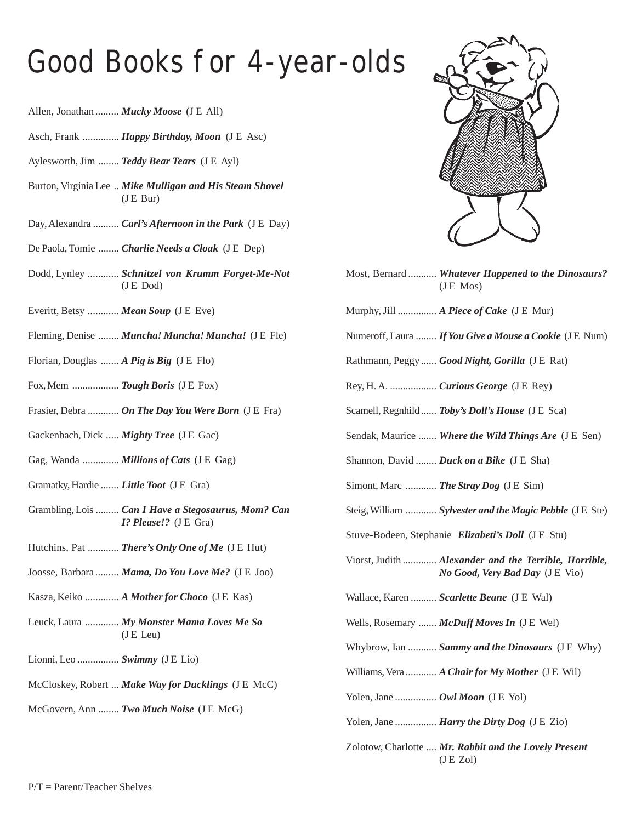#### Good Books for 4-year-olds

- Allen, Jonathan ......... *Mucky Moose* (J E All)
- Asch, Frank .............. *Happy Birthday, Moon* (J E Asc)
- Aylesworth, Jim ........ *Teddy Bear Tears* (J E Ayl)
- Burton, Virginia Lee .. *Mike Mulligan and His Steam Shovel*  $($ J E Bur $)$
- Day, Alexandra .......... *Carl's Afternoon in the Park* (J E Day)
- De Paola, Tomie ........ *Charlie Needs a Cloak* (J E Dep)
- Dodd, Lynley ............ *Schnitzel von Krumm Forget-Me-Not* (J E Dod)
- Everitt, Betsy ............ *Mean Soup* (J E Eve)
- Fleming, Denise ........ *Muncha! Muncha! Muncha!* (J E Fle)
- Florian, Douglas ....... *A Pig is Big* (J E Flo)
- Fox, Mem .................. *Tough Boris* (J E Fox)
- Frasier, Debra ............ *On The Day You Were Born* (J E Fra)
- Gackenbach, Dick ..... *Mighty Tree* (J E Gac)
- Gag, Wanda .............. *Millions of Cats* (J E Gag)
- Gramatky, Hardie ....... *Little Toot* (J E Gra)
- Grambling, Lois ......... *Can I Have a Stegosaurus, Mom? Can I? Please!?* (J E Gra)
- Hutchins, Pat ............ *There's Only One of Me* (JE Hut)
- Joosse, Barbara ......... *Mama, Do You Love Me?* (J E Joo)
- Kasza, Keiko ............. *A Mother for Choco* (J E Kas)
- Leuck, Laura ............. *My Monster Mama Loves Me So* (J E Leu)
- Lionni, Leo ................ *Swimmy* (J E Lio)
- McCloskey, Robert ... *Make Way for Ducklings* (J E McC)
- McGovern, Ann ........ *Two Much Noise* (J E McG)



- Most, Bernard ........... *Whatever Happened to the Dinosaurs?* (J E Mos)
- Murphy, Jill ............... *A Piece of Cake* (J E Mur)
- Numeroff, Laura ........ *If You Give a Mouse a Cookie* (J E Num)
- Rathmann, Peggy...... *Good Night, Gorilla* (J E Rat)
- Rey, H. A. .................. *Curious George* (J E Rey)
- Scamell, Regnhild...... *Toby's Doll's House* (J E Sca)
- Sendak, Maurice ....... *Where the Wild Things Are* (J E Sen)
- Shannon, David ........ *Duck on a Bike* (J E Sha)
- Simont, Marc ............ *The Stray Dog* (J E Sim)
- Steig, William ............ *Sylvester and the Magic Pebble* (J E Ste)

Stuve-Bodeen, Stephanie *Elizabeti's Doll* (J E Stu)

- Viorst, Judith ............. *Alexander and the Terrible, Horrible, No Good, Very Bad Day* (J E Vio)
- Wallace, Karen .......... *Scarlette Beane* (J E Wal)
- Wells, Rosemary ....... *McDuff Moves In* (J E Wel)
- Whybrow, Ian ........... *Sammy and the Dinosaurs* (J E Why)
- Williams, Vera ............ *A Chair for My Mother* (J E Wil)
- Yolen, Jane .................. *Owl Moon* (J E Yol)
- Yolen, Jane ................. *Harry the Dirty Dog* (J E Zio)
- Zolotow, Charlotte .... *Mr. Rabbit and the Lovely Present* (J E Zol)